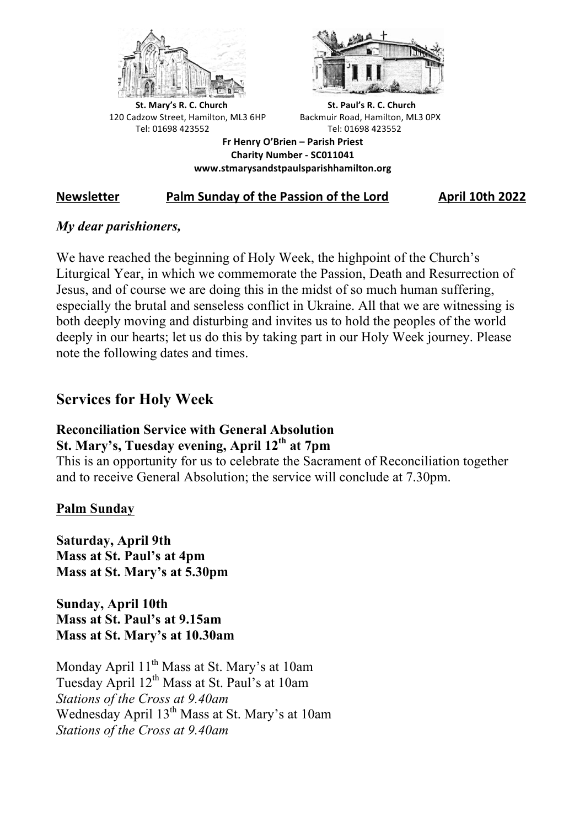



**St.** Mary's R. C. Church St. Paul's R. C. Church 120 Cadzow Street, Hamilton, ML3 6HP Backmuir Road, Hamilton, ML3 0PX Tel: 01698 423552 Tel: 01698 423552

**Fr Henry O'Brien – Parish Priest Charity Number - SC011041 www.stmarysandstpaulsparishhamilton.org**

# **Newsletter** *Palm Sunday of the Passion of the Lord* **<b>April 10th 2022**

## *My dear parishioners,*

We have reached the beginning of Holy Week, the highpoint of the Church's Liturgical Year, in which we commemorate the Passion, Death and Resurrection of Jesus, and of course we are doing this in the midst of so much human suffering, especially the brutal and senseless conflict in Ukraine. All that we are witnessing is both deeply moving and disturbing and invites us to hold the peoples of the world deeply in our hearts; let us do this by taking part in our Holy Week journey. Please note the following dates and times.

# **Services for Holy Week**

# **Reconciliation Service with General Absolution St. Mary's, Tuesday evening, April 12th at 7pm**

This is an opportunity for us to celebrate the Sacrament of Reconciliation together and to receive General Absolution; the service will conclude at 7.30pm.

# **Palm Sunday**

**Saturday, April 9th Mass at St. Paul's at 4pm Mass at St. Mary's at 5.30pm**

**Sunday, April 10th Mass at St. Paul's at 9.15am Mass at St. Mary's at 10.30am**

Monday April 11<sup>th</sup> Mass at St. Mary's at 10am Tuesday April  $12<sup>th</sup>$  Mass at St. Paul's at 10am *Stations of the Cross at 9.40am* Wednesday April 13<sup>th</sup> Mass at St. Mary's at 10am *Stations of the Cross at 9.40am*